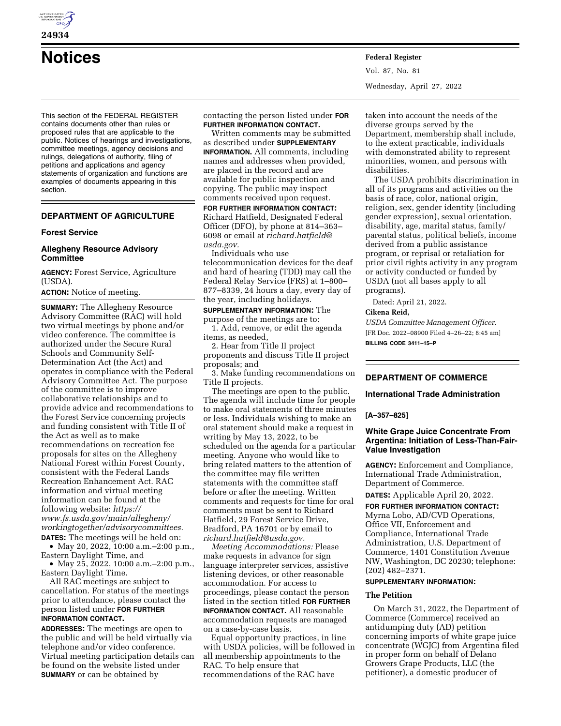

**24934** 

# **Notices Federal Register**

This section of the FEDERAL REGISTER contains documents other than rules or proposed rules that are applicable to the public. Notices of hearings and investigations, committee meetings, agency decisions and rulings, delegations of authority, filing of petitions and applications and agency statements of organization and functions are examples of documents appearing in this section.

# **DEPARTMENT OF AGRICULTURE**

#### **Forest Service**

# **Allegheny Resource Advisory Committee**

**AGENCY:** Forest Service, Agriculture (USDA).

**ACTION:** Notice of meeting.

**SUMMARY:** The Allegheny Resource Advisory Committee (RAC) will hold two virtual meetings by phone and/or video conference. The committee is authorized under the Secure Rural Schools and Community Self-Determination Act (the Act) and operates in compliance with the Federal Advisory Committee Act. The purpose of the committee is to improve collaborative relationships and to provide advice and recommendations to the Forest Service concerning projects and funding consistent with Title II of the Act as well as to make recommendations on recreation fee proposals for sites on the Allegheny National Forest within Forest County, consistent with the Federal Lands Recreation Enhancement Act. RAC information and virtual meeting information can be found at the following website: *https:// www.fs.usda.gov/main/allegheny/ workingtogether/advisorycommittees.* 

**DATES:** The meetings will be held on: • May 20, 2022, 10:00 a.m.–2:00 p.m.,

Eastern Daylight Time, and • May 25, 2022, 10:00 a.m. - 2:00 p.m., Eastern Daylight Time.

All RAC meetings are subject to cancellation. For status of the meetings prior to attendance, please contact the person listed under **FOR FURTHER INFORMATION CONTACT.** 

**ADDRESSES:** The meetings are open to the public and will be held virtually via telephone and/or video conference. Virtual meeting participation details can be found on the website listed under **SUMMARY** or can be obtained by

contacting the person listed under **FOR FURTHER INFORMATION CONTACT.** 

Written comments may be submitted as described under **SUPPLEMENTARY INFORMATION.** All comments, including names and addresses when provided, are placed in the record and are available for public inspection and copying. The public may inspect comments received upon request.

**FOR FURTHER INFORMATION CONTACT:**  Richard Hatfield, Designated Federal Officer (DFO), by phone at 814–363– 6098 or email at *richard.hatfield@ usda.gov.* 

Individuals who use telecommunication devices for the deaf and hard of hearing (TDD) may call the Federal Relay Service (FRS) at 1–800– 877–8339, 24 hours a day, every day of the year, including holidays.

# **SUPPLEMENTARY INFORMATION:** The

purpose of the meetings are to: 1. Add, remove, or edit the agenda items, as needed,

2. Hear from Title II project

proponents and discuss Title II project proposals; and

3. Make funding recommendations on Title II projects.

The meetings are open to the public. The agenda will include time for people to make oral statements of three minutes or less. Individuals wishing to make an oral statement should make a request in writing by May 13, 2022, to be scheduled on the agenda for a particular meeting. Anyone who would like to bring related matters to the attention of the committee may file written statements with the committee staff before or after the meeting. Written comments and requests for time for oral comments must be sent to Richard Hatfield, 29 Forest Service Drive, Bradford, PA 16701 or by email to *richard.hatfield@usda.gov.* 

*Meeting Accommodations:* Please make requests in advance for sign language interpreter services, assistive listening devices, or other reasonable accommodation. For access to proceedings, please contact the person listed in the section titled **FOR FURTHER INFORMATION CONTACT.** All reasonable accommodation requests are managed on a case-by-case basis.

Equal opportunity practices, in line with USDA policies, will be followed in all membership appointments to the RAC. To help ensure that recommendations of the RAC have

Vol. 87, No. 81 Wednesday, April 27, 2022

taken into account the needs of the diverse groups served by the Department, membership shall include, to the extent practicable, individuals with demonstrated ability to represent minorities, women, and persons with disabilities.

The USDA prohibits discrimination in all of its programs and activities on the basis of race, color, national origin, religion, sex, gender identity (including gender expression), sexual orientation, disability, age, marital status, family/ parental status, political beliefs, income derived from a public assistance program, or reprisal or retaliation for prior civil rights activity in any program or activity conducted or funded by USDA (not all bases apply to all programs).

Dated: April 21, 2022.

# **Cikena Reid,**

*USDA Committee Management Officer.*  [FR Doc. 2022–08900 Filed 4–26–22; 8:45 am] **BILLING CODE 3411–15–P** 

# **DEPARTMENT OF COMMERCE**

#### **International Trade Administration**

#### **[A–357–825]**

# **White Grape Juice Concentrate From Argentina: Initiation of Less-Than-Fair-Value Investigation**

**AGENCY:** Enforcement and Compliance, International Trade Administration, Department of Commerce.

**DATES:** Applicable April 20, 2022.

**FOR FURTHER INFORMATION CONTACT:**  Myrna Lobo, AD/CVD Operations, Office VII, Enforcement and Compliance, International Trade Administration, U.S. Department of Commerce, 1401 Constitution Avenue NW, Washington, DC 20230; telephone: (202) 482–2371.

# **SUPPLEMENTARY INFORMATION:**

# **The Petition**

On March 31, 2022, the Department of Commerce (Commerce) received an antidumping duty (AD) petition concerning imports of white grape juice concentrate (WGJC) from Argentina filed in proper form on behalf of Delano Growers Grape Products, LLC (the petitioner), a domestic producer of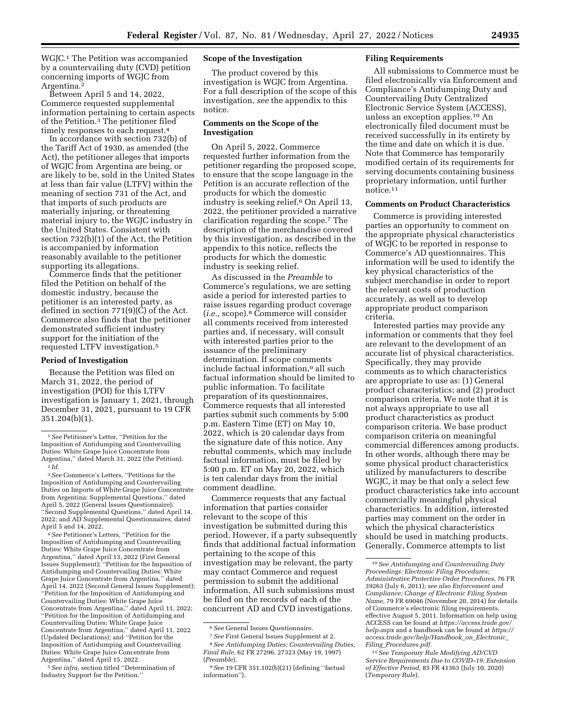WGJC.1 The Petition was accompanied by a countervailing duty (CVD) petition concerning imports of WGJC from Argentina.2

Between April 5 and 14, 2022, Commerce requested supplemental information pertaining to certain aspects of the Petition.3 The petitioner filed timely responses to each request.4

In accordance with section 732(b) of the Tariff Act of 1930, as amended (the Act), the petitioner alleges that imports of WGJC from Argentina are being, or are likely to be, sold in the United States at less than fair value (LTFV) within the meaning of section 731 of the Act, and that imports of such products are materially injuring, or threatening material injury to, the WGJC industry in the United States. Consistent with section 732(b)(1) of the Act, the Petition is accompanied by information reasonably available to the petitioner supporting its allegations.

Commerce finds that the petitioner filed the Petition on behalf of the domestic industry, because the petitioner is an interested party, as defined in section 771(9)(C) of the Act. Commerce also finds that the petitioner demonstrated sufficient industry support for the initiation of the requested LTFV investigation.5

#### **Period of Investigation**

Because the Petition was filed on March 31, 2022, the period of investigation (POI) for this LTFV investigation is January 1, 2021, through December 31, 2021, pursuant to 19 CFR 351.204(b)(1).

3*See* Commerce's Letters, ''Petitions for the Imposition of Antidumping and Countervailing Duties on Imports of White Grape Juice Concentrate from Argentina: Supplemental Questions,'' dated April 5, 2022 (General Issues Questionnaire); ''Second Supplemental Questions,'' dated April 14, 2022; and AD Supplemental Questionnaires, dated April 5 and 14, 2022.

4*See* Petitioner's Letters, ''Petition for the Imposition of Antidumping and Countervailing Duties: White Grape Juice Concentrate from Argentina,'' dated April 13, 2022 (First General Issues Supplement); ''Petition for the Imposition of Antidumping and Countervailing Duties: White Grape Juice Concentrate from Argentina,'' dated April 14, 2022 (Second General Issues Supplement); ''Petition for the Imposition of Antidumping and Countervailing Duties: White Grape Juice Concentrate from Argentina,'' dated April 11, 2022; ''Petition for the Imposition of Antidumping and Countervailing Duties: White Grape Juice Concentrate from Argentina,'' dated April 11, 2022 (Updated Declarations); and ''Petition for the Imposition of Antidumping and Countervailing Duties: White Grape Juice Concentrate from Argentina,'' dated April 15, 2022.

5*See infra,* section titled ''Determination of Industry Support for the Petition.''

# **Scope of the Investigation**

The product covered by this investigation is WGJC from Argentina. For a full description of the scope of this investigation, *see* the appendix to this notice.

## **Comments on the Scope of the Investigation**

On April 5, 2022, Commerce requested further information from the petitioner regarding the proposed scope, to ensure that the scope language in the Petition is an accurate reflection of the products for which the domestic industry is seeking relief.6 On April 13, 2022, the petitioner provided a narrative clarification regarding the scope.7 The description of the merchandise covered by this investigation, as described in the appendix to this notice, reflects the products for which the domestic industry is seeking relief.

As discussed in the *Preamble* to Commerce's regulations, we are setting aside a period for interested parties to raise issues regarding product coverage (*i.e.,* scope).8 Commerce will consider all comments received from interested parties and, if necessary, will consult with interested parties prior to the issuance of the preliminary determination. If scope comments include factual information,9 all such factual information should be limited to public information. To facilitate preparation of its questionnaires, Commerce requests that all interested parties submit such comments by 5:00 p.m. Eastern Time (ET) on May 10, 2022, which is 20 calendar days from the signature date of this notice. Any rebuttal comments, which may include factual information, must be filed by 5:00 p.m. ET on May 20, 2022, which is ten calendar days from the initial comment deadline.

Commerce requests that any factual information that parties consider relevant to the scope of this investigation be submitted during this period. However, if a party subsequently finds that additional factual information pertaining to the scope of this investigation may be relevant, the party may contact Commerce and request permission to submit the additional information. All such submissions must be filed on the records of each of the concurrent AD and CVD investigations.

#### **Filing Requirements**

All submissions to Commerce must be filed electronically via Enforcement and Compliance's Antidumping Duty and Countervailing Duty Centralized Electronic Service System (ACCESS), unless an exception applies.10 An electronically filed document must be received successfully in its entirety by the time and date on which it is due. Note that Commerce has temporarily modified certain of its requirements for serving documents containing business proprietary information, until further notice.11

# **Comments on Product Characteristics**

Commerce is providing interested parties an opportunity to comment on the appropriate physical characteristics of WGJC to be reported in response to Commerce's AD questionnaires. This information will be used to identify the key physical characteristics of the subject merchandise in order to report the relevant costs of production accurately, as well as to develop appropriate product comparison criteria.

Interested parties may provide any information or comments that they feel are relevant to the development of an accurate list of physical characteristics. Specifically, they may provide comments as to which characteristics are appropriate to use as: (1) General product characteristics; and (2) product comparison criteria. We note that it is not always appropriate to use all product characteristics as product comparison criteria. We base product comparison criteria on meaningful commercial differences among products. In other words, although there may be some physical product characteristics utilized by manufacturers to describe WGJC, it may be that only a select few product characteristics take into account commercially meaningful physical characteristics. In addition, interested parties may comment on the order in which the physical characteristics should be used in matching products. Generally, Commerce attempts to list

<sup>1</sup>*See* Petitioner's Letter, ''Petition for the Imposition of Antidumping and Countervailing Duties: White Grape Juice Concentrate from Argentina,'' dated March 31, 2022 (the Petition). 2 *Id.* 

<sup>6</sup>*See* General Issues Questionnaire.

<sup>7</sup>*See* First General Issues Supplement at 2.

<sup>8</sup>*See Antidumping Duties; Countervailing Duties, Final Rule,* 62 FR 27296, 27323 (May 19, 1997) (*Preamble*).

<sup>9</sup>*See* 19 CFR 351.102(b)(21) (defining ''factual information'').

<sup>10</sup>*See Antidumping and Countervailing Duty Proceedings: Electronic Filing Procedures; Administrative Protective Order Procedures,* 76 FR 39263 (July 6, 2011); *see also Enforcement and Compliance; Change of Electronic Filing System Name,* 79 FR 69046 (November 20, 2014) for details of Commerce's electronic filing requirements, effective August 5, 2011. Information on help using ACCESS can be found at *https://access.trade.gov/ help.aspx* and a handbook can be found at *https:// access.trade.gov/help/Handbook*\_*on*\_*Electronic*\_ *Filing*\_*Procedures.pdf.* 

<sup>11</sup>*See Temporary Rule Modifying AD/CVD Service Requirements Due to COVID–19; Extension of Effective Period,* 85 FR 41363 (July 10, 2020) (*Temporary Rule*).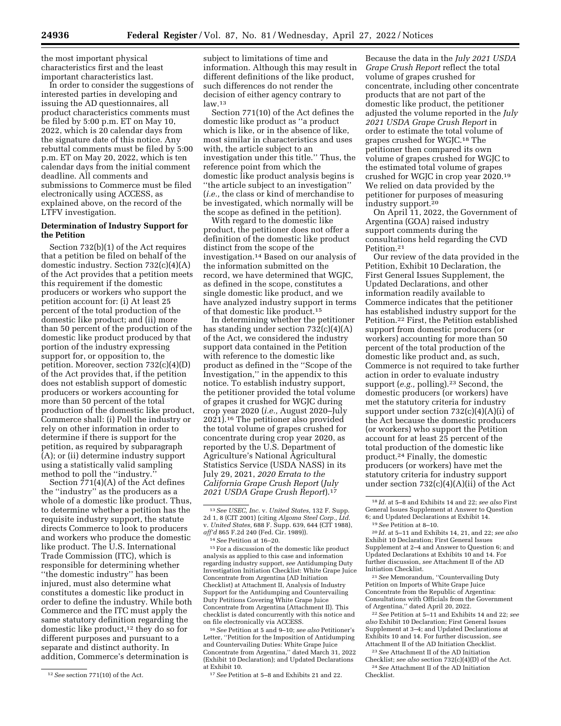the most important physical characteristics first and the least important characteristics last.

In order to consider the suggestions of interested parties in developing and issuing the AD questionnaires, all product characteristics comments must be filed by 5:00 p.m. ET on May 10, 2022, which is 20 calendar days from the signature date of this notice. Any rebuttal comments must be filed by 5:00 p.m. ET on May 20, 2022, which is ten calendar days from the initial comment deadline. All comments and submissions to Commerce must be filed electronically using ACCESS, as explained above, on the record of the LTFV investigation.

# **Determination of Industry Support for the Petition**

Section 732(b)(1) of the Act requires that a petition be filed on behalf of the domestic industry. Section 732(c)(4)(A) of the Act provides that a petition meets this requirement if the domestic producers or workers who support the petition account for: (i) At least 25 percent of the total production of the domestic like product; and (ii) more than 50 percent of the production of the domestic like product produced by that portion of the industry expressing support for, or opposition to, the petition. Moreover, section 732(c)(4)(D) of the Act provides that, if the petition does not establish support of domestic producers or workers accounting for more than 50 percent of the total production of the domestic like product, Commerce shall: (i) Poll the industry or rely on other information in order to determine if there is support for the petition, as required by subparagraph (A); or (ii) determine industry support using a statistically valid sampling method to poll the ''industry.''

Section 771(4)(A) of the Act defines the ''industry'' as the producers as a whole of a domestic like product. Thus, to determine whether a petition has the requisite industry support, the statute directs Commerce to look to producers and workers who produce the domestic like product. The U.S. International Trade Commission (ITC), which is responsible for determining whether ''the domestic industry'' has been injured, must also determine what constitutes a domestic like product in order to define the industry. While both Commerce and the ITC must apply the same statutory definition regarding the domestic like product,<sup>12</sup> they do so for different purposes and pursuant to a separate and distinct authority. In addition, Commerce's determination is

subject to limitations of time and information. Although this may result in different definitions of the like product, such differences do not render the decision of either agency contrary to  $law<sup>13</sup>$ 

Section 771(10) of the Act defines the domestic like product as ''a product which is like, or in the absence of like, most similar in characteristics and uses with, the article subject to an investigation under this title.'' Thus, the reference point from which the domestic like product analysis begins is ''the article subject to an investigation'' (*i.e.,* the class or kind of merchandise to be investigated, which normally will be the scope as defined in the petition).

With regard to the domestic like product, the petitioner does not offer a definition of the domestic like product distinct from the scope of the investigation.14 Based on our analysis of the information submitted on the record, we have determined that WGJC, as defined in the scope, constitutes a single domestic like product, and we have analyzed industry support in terms of that domestic like product.15

In determining whether the petitioner has standing under section 732(c)(4)(A) of the Act, we considered the industry support data contained in the Petition with reference to the domestic like product as defined in the ''Scope of the Investigation,'' in the appendix to this notice. To establish industry support, the petitioner provided the total volume of grapes it crushed for WGJC during crop year 2020 (*i.e.,* August 2020–July 2021).16 The petitioner also provided the total volume of grapes crushed for concentrate during crop year 2020, as reported by the U.S. Department of Agriculture's National Agricultural Statistics Service (USDA NASS) in its July 29, 2021, *2020 Errata to the California Grape Crush Report* (*July 2021 USDA Grape Crush Report*).17

15For a discussion of the domestic like product analysis as applied to this case and information regarding industry support, *see* Antidumping Duty Investigation Initiation Checklist: White Grape Juice Concentrate from Argentina (AD Initiation Checklist) at Attachment II, Analysis of Industry Support for the Antidumping and Countervailing Duty Petitions Covering White Grape Juice Concentrate from Argentina (Attachment II). This checklist is dated concurrently with this notice and on file electronically via ACCESS.

16*See* Petition at 5 and 9–10; *see also* Petitioner's Letter, ''Petition for the Imposition of Antidumping and Countervailing Duties: White Grape Juice Concentrate from Argentina,'' dated March 31, 2022 (Exhibit 10 Declaration); and Updated Declarations at Exhibit 10.

17*See* Petition at 5–8 and Exhibits 21 and 22.

Because the data in the *July 2021 USDA Grape Crush Report* reflect the total volume of grapes crushed for concentrate, including other concentrate products that are not part of the domestic like product, the petitioner adjusted the volume reported in the *July 2021 USDA Grape Crush Report* in order to estimate the total volume of grapes crushed for WGJC.18 The petitioner then compared its own volume of grapes crushed for WGJC to the estimated total volume of grapes crushed for WGJC in crop year 2020.19 We relied on data provided by the petitioner for purposes of measuring industry support.20

On April 11, 2022, the Government of Argentina (GOA) raised industry support comments during the consultations held regarding the CVD Petition.21

Our review of the data provided in the Petition, Exhibit 10 Declaration, the First General Issues Supplement, the Updated Declarations, and other information readily available to Commerce indicates that the petitioner has established industry support for the Petition.22 First, the Petition established support from domestic producers (or workers) accounting for more than 50 percent of the total production of the domestic like product and, as such, Commerce is not required to take further action in order to evaluate industry support (*e.g.*, polling).<sup>23</sup> Second, the domestic producers (or workers) have met the statutory criteria for industry support under section  $732(c)(4)(A)(i)$  of the Act because the domestic producers (or workers) who support the Petition account for at least 25 percent of the total production of the domestic like product.24 Finally, the domestic producers (or workers) have met the statutory criteria for industry support under section 732(c)(4)(A)(ii) of the Act

20 *Id.* at 5–11 and Exhibits 14, 21, and 22; *see also*  Exhibit 10 Declaration; First General Issues Supplement at 2–4 and Answer to Question 6; and Updated Declarations at Exhibits 10 and 14. For further discussion, *see* Attachment II of the AD Initiation Checklist.

21*See* Memorandum, ''Countervailing Duty Petition on Imports of White Grape Juice Concentrate from the Republic of Argentina: Consultations with Officials from the Government of Argentina,'' dated April 20, 2022.

22*See* Petition at 5–11 and Exhibits 14 and 22; *see also* Exhibit 10 Declaration; First General Issues Supplement at 3–4; and Updated Declarations at Exhibits 10 and 14. For further discussion, *see*  Attachment II of the AD Initiation Checklist.

23*See* Attachment II of the AD Initiation Checklist; *see also* section 732(c)(4)(D) of the Act. 24*See* Attachment II of the AD Initiation Checklist.

<sup>12</sup>*See* section 771(10) of the Act.

<sup>13</sup>*See USEC, Inc.* v. *United States,* 132 F. Supp. 2d 1, 8 (CIT 2001) (citing *Algoma Steel Corp., Ltd.*  v. *United States,* 688 F. Supp. 639, 644 (CIT 1988), *aff'd* 865 F.2d 240 (Fed. Cir. 1989)).

<sup>14</sup>*See* Petition at 16–20.

<sup>18</sup> *Id.* at 5–8 and Exhibits 14 and 22; *see also* First General Issues Supplement at Answer to Question 6; and Updated Declarations at Exhibit 14.

<sup>19</sup>*See* Petition at 8–10.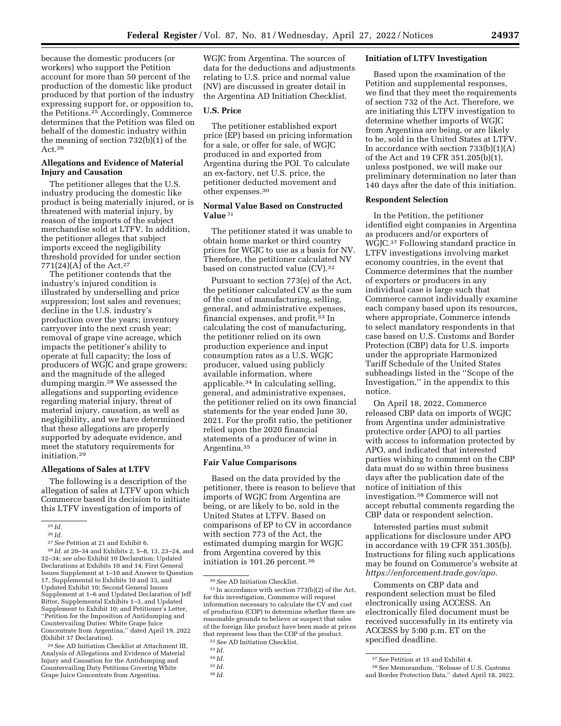because the domestic producers (or workers) who support the Petition account for more than 50 percent of the production of the domestic like product produced by that portion of the industry expressing support for, or opposition to, the Petitions.25 Accordingly, Commerce determines that the Petition was filed on behalf of the domestic industry within the meaning of section 732(b)(1) of the Act.26

# **Allegations and Evidence of Material Injury and Causation**

The petitioner alleges that the U.S. industry producing the domestic like product is being materially injured, or is threatened with material injury, by reason of the imports of the subject merchandise sold at LTFV. In addition, the petitioner alleges that subject imports exceed the negligibility threshold provided for under section 771(24)(A) of the Act.<sup>27</sup>

The petitioner contends that the industry's injured condition is illustrated by underselling and price suppression; lost sales and revenues; decline in the U.S. industry's production over the years; inventory carryover into the next crush year; removal of grape vine acreage, which impacts the petitioner's ability to operate at full capacity; the loss of producers of WGJC and grape growers; and the magnitude of the alleged dumping margin.28 We assessed the allegations and supporting evidence regarding material injury, threat of material injury, causation, as well as negligibility, and we have determined that these allegations are properly supported by adequate evidence, and meet the statutory requirements for initiation.29

# **Allegations of Sales at LTFV**

The following is a description of the allegation of sales at LTFV upon which Commerce based its decision to initiate this LTFV investigation of imports of

 $^{26}$ *Id.*  $^{27}$  *See* Petition at 21 and Exhibit 6.

<sup>28</sup> *Id.* at 20-34 and Exhibits 2, 5-8, 13, 23-24, and 32–34; *see also* Exhibit 10 Declaration; Updated Declarations at Exhibits 10 and 14; First General Issues Supplement at 1–10 and Answer to Question 17, Supplemental to Exhibits 10 and 33, and Updated Exhibit 10; Second General Issues Supplement at 1–6 and Updated Declaration of Jeff Bitter, Supplemental Exhibits 1–3, and Updated Supplement to Exhibit 10; and Petitioner's Letter, ''Petition for the Imposition of Antidumping and Countervailing Duties: White Grape Juice Concentrate from Argentina,'' dated April 19, 2022 (Exhibit 37 Declaration).

29*See* AD Initiation Checklist at Attachment III, Analysis of Allegations and Evidence of Material Injury and Causation for the Antidumping and Countervailing Duty Petitions Covering White Grape Juice Concentrate from Argentina.

WGJC from Argentina. The sources of data for the deductions and adjustments relating to U.S. price and normal value (NV) are discussed in greater detail in the Argentina AD Initiation Checklist.

# **U.S. Price**

The petitioner established export price (EP) based on pricing information for a sale, or offer for sale, of WGJC produced in and exported from Argentina during the POI. To calculate an ex-factory, net U.S. price, the petitioner deducted movement and other expenses.30

# **Normal Value Based on Constructed Value** 31

The petitioner stated it was unable to obtain home market or third country prices for WGJC to use as a basis for NV. Therefore, the petitioner calculated NV based on constructed value (CV).32

Pursuant to section 773(e) of the Act, the petitioner calculated CV as the sum of the cost of manufacturing, selling, general, and administrative expenses, financial expenses, and profit.33 In calculating the cost of manufacturing, the petitioner relied on its own production experience and input consumption rates as a U.S. WGJC producer, valued using publicly available information, where applicable.34 In calculating selling, general, and administrative expenses, the petitioner relied on its own financial statements for the year ended June 30, 2021. For the profit ratio, the petitioner relied upon the 2020 financial statements of a producer of wine in Argentina.35

# **Fair Value Comparisons**

Based on the data provided by the petitioner, there is reason to believe that imports of WGJC from Argentina are being, or are likely to be, sold in the United States at LTFV. Based on comparisons of EP to CV in accordance with section 773 of the Act, the estimated dumping margin for WGJC from Argentina covered by this initiation is 101.26 percent.36

## **Initiation of LTFV Investigation**

Based upon the examination of the Petition and supplemental responses, we find that they meet the requirements of section 732 of the Act. Therefore, we are initiating this LTFV investigation to determine whether imports of WGJC from Argentina are being, or are likely to be, sold in the United States at LTFV. In accordance with section  $733(b)(1)(A)$ of the Act and 19 CFR 351.205(b)(1), unless postponed, we will make our preliminary determination no later than 140 days after the date of this initiation.

# **Respondent Selection**

In the Petition, the petitioner identified eight companies in Argentina as producers and/or exporters of WGJC.37 Following standard practice in LTFV investigations involving market economy countries, in the event that Commerce determines that the number of exporters or producers in any individual case is large such that Commerce cannot individually examine each company based upon its resources, where appropriate, Commerce intends to select mandatory respondents in that case based on U.S. Customs and Border Protection (CBP) data for U.S. imports under the appropriate Harmonized Tariff Schedule of the United States subheadings listed in the ''Scope of the Investigation,'' in the appendix to this notice.

On April 18, 2022, Commerce released CBP data on imports of WGJC from Argentina under administrative protective order (APO) to all parties with access to information protected by APO, and indicated that interested parties wishing to comment on the CBP data must do so within three business days after the publication date of the notice of initiation of this investigation.38 Commerce will not accept rebuttal comments regarding the CBP data or respondent selection.

Interested parties must submit applications for disclosure under APO in accordance with 19 CFR 351.305(b). Instructions for filing such applications may be found on Commerce's website at *https://enforcement.trade.gov/apo.* 

Comments on CBP data and respondent selection must be filed electronically using ACCESS. An electronically filed document must be received successfully in its entirety via ACCESS by 5:00 p.m. ET on the specified deadline.

<sup>25</sup> *Id.* 

<sup>30</sup>*See* AD Initiation Checklist.

<sup>31</sup> In accordance with section 773(b)(2) of the Act, for this investigation, Commerce will request information necessary to calculate the CV and cost of production (COP) to determine whether there are reasonable grounds to believe or suspect that sales of the foreign like product have been made at prices that represent less than the COP of the product.

<sup>32</sup>*See* AD Initiation Checklist.

<sup>33</sup> *Id.* 

<sup>34</sup> *Id.* 

<sup>35</sup> *Id.* 

<sup>36</sup> *Id.* 

<sup>37</sup>*See* Petition at 15 and Exhibit 4.

<sup>38</sup>*See* Memorandum, ''Release of U.S. Customs and Border Protection Data,'' dated April 18, 2022.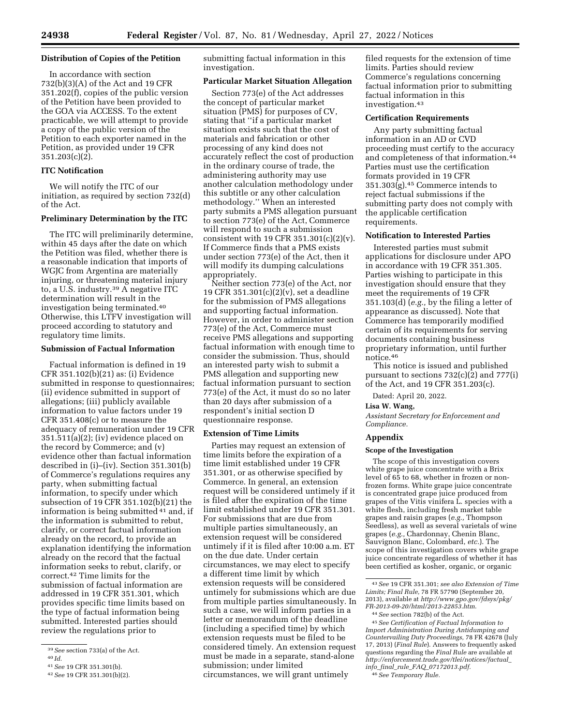#### **Distribution of Copies of the Petition**

In accordance with section 732(b)(3)(A) of the Act and 19 CFR 351.202(f), copies of the public version of the Petition have been provided to the GOA via ACCESS. To the extent practicable, we will attempt to provide a copy of the public version of the Petition to each exporter named in the Petition, as provided under 19 CFR 351.203(c)(2).

# **ITC Notification**

We will notify the ITC of our initiation, as required by section 732(d) of the Act.

#### **Preliminary Determination by the ITC**

The ITC will preliminarily determine, within 45 days after the date on which the Petition was filed, whether there is a reasonable indication that imports of WGJC from Argentina are materially injuring, or threatening material injury to, a U.S. industry.39 A negative ITC determination will result in the investigation being terminated.40 Otherwise, this LTFV investigation will proceed according to statutory and regulatory time limits.

# **Submission of Factual Information**

Factual information is defined in 19 CFR 351.102(b)(21) as: (i) Evidence submitted in response to questionnaires; (ii) evidence submitted in support of allegations; (iii) publicly available information to value factors under 19 CFR 351.408(c) or to measure the adequacy of remuneration under 19 CFR 351.511(a)(2); (iv) evidence placed on the record by Commerce; and (v) evidence other than factual information described in (i)–(iv). Section 351.301(b) of Commerce's regulations requires any party, when submitting factual information, to specify under which subsection of 19 CFR 351.102(b)(21) the information is being submitted 41 and, if the information is submitted to rebut, clarify, or correct factual information already on the record, to provide an explanation identifying the information already on the record that the factual information seeks to rebut, clarify, or correct.42 Time limits for the submission of factual information are addressed in 19 CFR 351.301, which provides specific time limits based on the type of factual information being submitted. Interested parties should review the regulations prior to

submitting factual information in this investigation.

# **Particular Market Situation Allegation**

Section 773(e) of the Act addresses the concept of particular market situation (PMS) for purposes of CV, stating that ''if a particular market situation exists such that the cost of materials and fabrication or other processing of any kind does not accurately reflect the cost of production in the ordinary course of trade, the administering authority may use another calculation methodology under this subtitle or any other calculation methodology.'' When an interested party submits a PMS allegation pursuant to section 773(e) of the Act, Commerce will respond to such a submission consistent with 19 CFR  $351.301(c)(2)(v)$ . If Commerce finds that a PMS exists under section 773(e) of the Act, then it will modify its dumping calculations appropriately.

Neither section 773(e) of the Act, nor 19 CFR 351.301(c)(2)(v), set a deadline for the submission of PMS allegations and supporting factual information. However, in order to administer section 773(e) of the Act, Commerce must receive PMS allegations and supporting factual information with enough time to consider the submission. Thus, should an interested party wish to submit a PMS allegation and supporting new factual information pursuant to section 773(e) of the Act, it must do so no later than 20 days after submission of a respondent's initial section D questionnaire response.

#### **Extension of Time Limits**

Parties may request an extension of time limits before the expiration of a time limit established under 19 CFR 351.301, or as otherwise specified by Commerce. In general, an extension request will be considered untimely if it is filed after the expiration of the time limit established under 19 CFR 351.301. For submissions that are due from multiple parties simultaneously, an extension request will be considered untimely if it is filed after 10:00 a.m. ET on the due date. Under certain circumstances, we may elect to specify a different time limit by which extension requests will be considered untimely for submissions which are due from multiple parties simultaneously. In such a case, we will inform parties in a letter or memorandum of the deadline (including a specified time) by which extension requests must be filed to be considered timely. An extension request must be made in a separate, stand-alone submission; under limited circumstances, we will grant untimely

filed requests for the extension of time limits. Parties should review Commerce's regulations concerning factual information prior to submitting factual information in this investigation.43

# **Certification Requirements**

Any party submitting factual information in an AD or CVD proceeding must certify to the accuracy and completeness of that information.44 Parties must use the certification formats provided in 19 CFR 351.303(g).45 Commerce intends to reject factual submissions if the submitting party does not comply with the applicable certification requirements.

#### **Notification to Interested Parties**

Interested parties must submit applications for disclosure under APO in accordance with 19 CFR 351.305. Parties wishing to participate in this investigation should ensure that they meet the requirements of 19 CFR 351.103(d) (*e.g.,* by the filing a letter of appearance as discussed). Note that Commerce has temporarily modified certain of its requirements for serving documents containing business proprietary information, until further notice.46

This notice is issued and published pursuant to sections 732(c)(2) and 777(i) of the Act, and 19 CFR 351.203(c).

Dated: April 20, 2022.

#### **Lisa W. Wang,**

*Assistant Secretary for Enforcement and Compliance.* 

# **Appendix**

#### **Scope of the Investigation**

The scope of this investigation covers white grape juice concentrate with a Brix level of 65 to 68, whether in frozen or nonfrozen forms. White grape juice concentrate is concentrated grape juice produced from grapes of the Vitis vinifera L. species with a white flesh, including fresh market table grapes and raisin grapes (*e.g.,* Thompson Seedless), as well as several varietals of wine grapes (*e.g.,* Chardonnay, Chenin Blanc, Sauvignon Blanc, Colombard, *etc.*). The scope of this investigation covers white grape juice concentrate regardless of whether it has been certified as kosher, organic, or organic

45*See Certification of Factual Information to Import Administration During Antidumping and Countervailing Duty Proceedings,* 78 FR 42678 (July 17, 2013) (*Final Rule*). Answers to frequently asked questions regarding the *Final Rule* are available at *http://enforcement.trade.gov/tlei/notices/factual*\_ *info*\_*final*\_*rule*\_*FAQ*\_*07172013.pdf.* 

46*See Temporary Rule.* 

<sup>39</sup>*See* section 733(a) of the Act.

<sup>40</sup> *Id.* 

<sup>41</sup>*See* 19 CFR 351.301(b).

<sup>42</sup>*See* 19 CFR 351.301(b)(2).

<sup>43</sup>*See* 19 CFR 351.301; *see also Extension of Time Limits; Final Rule,* 78 FR 57790 (September 20, 2013), available at *http://www.gpo.gov/fdsys/pkg/ FR-2013-09-20/html/2013-22853.htm*.

<sup>44</sup>*See* section 782(b) of the Act.